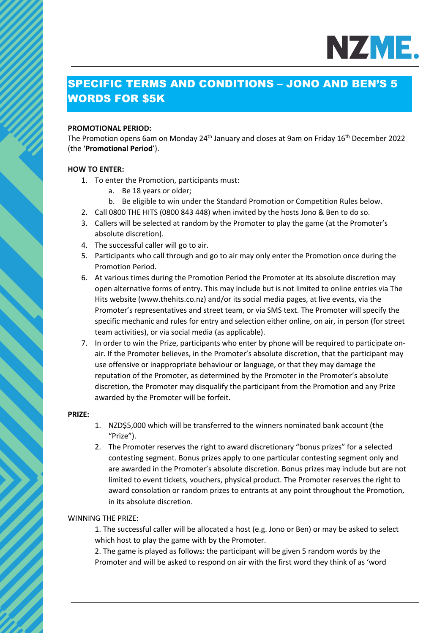

# SPECIFIC TERMS AND CONDITIONS – JONO AND BEN'S 5 WORDS FOR \$5K

#### **PROMOTIONAL PERIOD:**

The Promotion opens 6am on Monday 24<sup>th</sup> January and closes at 9am on Friday 16<sup>th</sup> December 2022 (the '**Promotional Period**').

#### **HOW TO ENTER:**

- 1. To enter the Promotion, participants must:
	- a. Be 18 years or older;
	- b. Be eligible to win under the Standard Promotion or Competition Rules below.
- 2. Call 0800 THE HITS (0800 843 448) when invited by the hosts Jono & Ben to do so.
- 3. Callers will be selected at random by the Promoter to play the game (at the Promoter's absolute discretion).
- 4. The successful caller will go to air.
- 5. Participants who call through and go to air may only enter the Promotion once during the Promotion Period.
- 6. At various times during the Promotion Period the Promoter at its absolute discretion may open alternative forms of entry. This may include but is not limited to online entries via The Hits website (www.thehits.co.nz) and/or its social media pages, at live events, via the Promoter's representatives and street team, or via SMS text. The Promoter will specify the specific mechanic and rules for entry and selection either online, on air, in person (for street team activities), or via social media (as applicable).
- 7. In order to win the Prize, participants who enter by phone will be required to participate onair. If the Promoter believes, in the Promoter's absolute discretion, that the participant may use offensive or inappropriate behaviour or language, or that they may damage the reputation of the Promoter, as determined by the Promoter in the Promoter's absolute discretion, the Promoter may disqualify the participant from the Promotion and any Prize awarded by the Promoter will be forfeit.

#### **PRIZE:**

- 1. NZD\$5,000 which will be transferred to the winners nominated bank account (the "Prize").
- 2. The Promoter reserves the right to award discretionary "bonus prizes" for a selected contesting segment. Bonus prizes apply to one particular contesting segment only and are awarded in the Promoter's absolute discretion. Bonus prizes may include but are not limited to event tickets, vouchers, physical product. The Promoter reserves the right to award consolation or random prizes to entrants at any point throughout the Promotion, in its absolute discretion.

#### WINNING THE PRIZE:

1. The successful caller will be allocated a host (e.g. Jono or Ben) or may be asked to select which host to play the game with by the Promoter.

2. The game is played as follows: the participant will be given 5 random words by the Promoter and will be asked to respond on air with the first word they think of as 'word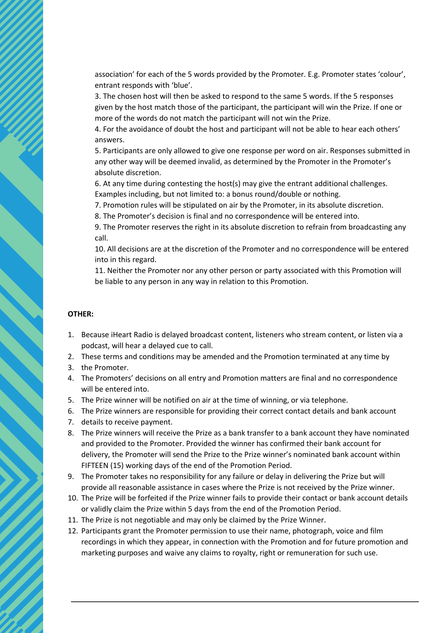association' for each of the 5 words provided by the Promoter. E.g. Promoter states 'colour', entrant responds with 'blue'.

3. The chosen host will then be asked to respond to the same 5 words. If the 5 responses given by the host match those of the participant, the participant will win the Prize. If one or more of the words do not match the participant will not win the Prize.

4. For the avoidance of doubt the host and participant will not be able to hear each others' answers.

5. Participants are only allowed to give one response per word on air. Responses submitted in any other way will be deemed invalid, as determined by the Promoter in the Promoter's absolute discretion.

6. At any time during contesting the host(s) may give the entrant additional challenges. Examples including, but not limited to: a bonus round/double or nothing.

7. Promotion rules will be stipulated on air by the Promoter, in its absolute discretion.

8. The Promoter's decision is final and no correspondence will be entered into.

9. The Promoter reserves the right in its absolute discretion to refrain from broadcasting any call.

10. All decisions are at the discretion of the Promoter and no correspondence will be entered into in this regard.

11. Neither the Promoter nor any other person or party associated with this Promotion will be liable to any person in any way in relation to this Promotion.

#### **OTHER:**

- 1. Because iHeart Radio is delayed broadcast content, listeners who stream content, or listen via a podcast, will hear a delayed cue to call.
- 2. These terms and conditions may be amended and the Promotion terminated at any time by
- 3. the Promoter.
- 4. The Promoters' decisions on all entry and Promotion matters are final and no correspondence will be entered into.
- 5. The Prize winner will be notified on air at the time of winning, or via telephone.
- 6. The Prize winners are responsible for providing their correct contact details and bank account
- 7. details to receive payment.
- 8. The Prize winners will receive the Prize as a bank transfer to a bank account they have nominated and provided to the Promoter. Provided the winner has confirmed their bank account for delivery, the Promoter will send the Prize to the Prize winner's nominated bank account within FIFTEEN (15) working days of the end of the Promotion Period.
- 9. The Promoter takes no responsibility for any failure or delay in delivering the Prize but will provide all reasonable assistance in cases where the Prize is not received by the Prize winner.
- 10. The Prize will be forfeited if the Prize winner fails to provide their contact or bank account details or validly claim the Prize within 5 days from the end of the Promotion Period.
- 11. The Prize is not negotiable and may only be claimed by the Prize Winner.
- 12. Participants grant the Promoter permission to use their name, photograph, voice and film recordings in which they appear, in connection with the Promotion and for future promotion and marketing purposes and waive any claims to royalty, right or remuneration for such use.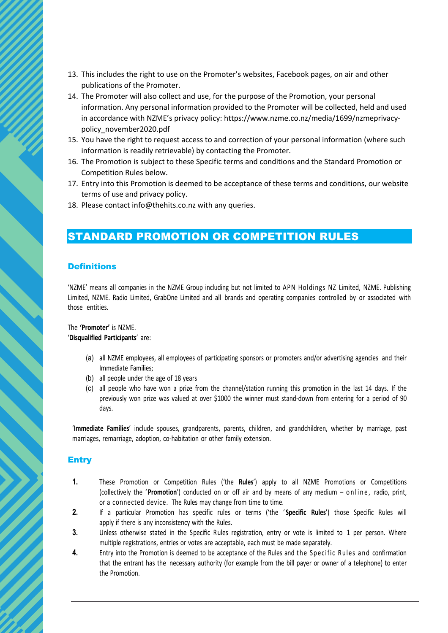- 13. This includes the right to use on the Promoter's websites, Facebook pages, on air and other publications of the Promoter.
- 14. The Promoter will also collect and use, for the purpose of the Promotion, your personal information. Any personal information provided to the Promoter will be collected, held and used in accordance with NZME's privacy policy: https://www.nzme.co.nz/media/1699/nzmeprivacypolicy\_november2020.pdf
- 15. You have the right to request access to and correction of your personal information (where such information is readily retrievable) by contacting the Promoter.
- 16. The Promotion is subject to these Specific terms and conditions and the Standard Promotion or Competition Rules below.
- 17. Entry into this Promotion is deemed to be acceptance of these terms and conditions, our website terms of use and privacy policy.
- 18. Please contact info@thehits.co.nz with any queries.

# STANDARD PROMOTION OR COMPETITION RULES

#### **Definitions**

'NZME' means all companies in the NZME Group including but not limited to APN Holdings NZ Limited, NZME. Publishing Limited, NZME. Radio Limited, GrabOne Limited and all brands and operating companies controlled by or associated with those entities.

#### The **'Promoter'** is NZME. '**Disqualified Participants**' are:

- (a) all NZME employees, all employees of participating sponsors or promoters and/or advertising agencies and their Immediate Families;
- (b) all people under the age of 18 years
- (c) all people who have won a prize from the channel/station running this promotion in the last 14 days. If the previously won prize was valued at over \$1000 the winner must stand-down from entering for a period of 90 days.

'**Immediate Families**' include spouses, grandparents, parents, children, and grandchildren, whether by marriage, past marriages, remarriage, adoption, co-habitation or other family extension.

### **Entry**

- **1.** These Promotion or Competition Rules ('the **Rules**') apply to all NZME Promotions or Competitions (collectively the '**Promotion**') conducted on or off air and by means of any medium – online, radio, print, or a connected device. The Rules may change from time to time.
- **2.** If a particular Promotion has specific rules or terms ('the ' **Specific Rules**') those Specific Rules will apply if there is any inconsistency with the Rules.
- **3.** Unless otherwise stated in the Specific Rules registration, entry or vote is limited to 1 per person. Where multiple registrations, entries or votes are acceptable, each must be made separately.
- **4.** Entry into the Promotion is deemed to be acceptance of the Rules and the Specific Rules and confirmation that the entrant has the necessary authority (for example from the bill payer or owner of a telephone) to enter the Promotion.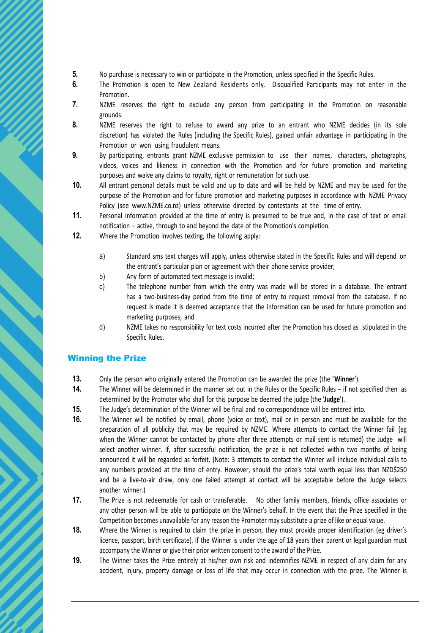- **5.** No purchase is necessary to win or participate in the Promotion, unless specified in the Specific Rules.
- **6.** The Promotion is open to New Zealand Residents only. Disqualified Participants may not enter in the Promotion.
- **7.** NZME reserves the right to exclude any person from participating in the Promotion on reasonable grounds.
- **8.** NZME reserves the right to refuse to award any prize to an entrant who NZME decides (in its sole discretion) has violated the Rules (including the Specific Rules), gained unfair advantage in participating in the Promotion or won using fraudulent means.
- **9.** By participating, entrants grant NZME exclusive permission to use their names, characters, photographs, videos, voices and likeness in connection with the Promotion and for future promotion and marketing purposes and waive any claims to royalty, right or remuneration for such use.
- **10.** All entrant personal details must be valid and up to date and will be held by NZME and may be used for the purpose of the Promotion and for future promotion and marketing purposes in accordance with NZME Privacy Policy (see www.NZME.co.nz) unless otherwise directed by contestants at the time of entry.
- **11.** Personal information provided at the time of entry is presumed to be true and, in the case of text or email notification – active, through to and beyond the date of the Promotion's completion.
- **12.** Where the Promotion involves texting, the following apply:
	- a) Standard sms text charges will apply, unless otherwise stated in the Specific Rules and will depend on the entrant's particular plan or agreement with their phone service provider;
	- b) Any form of automated text message is invalid;
	- c) The telephone number from which the entry was made will be stored in a database. The entrant has a two-business-day period from the time of entry to request removal from the database. If no request is made it is deemed acceptance that the information can be used for future promotion and marketing purposes; and
	- d) NZME takes no responsibility for text costs incurred after the Promotion has closed as stipulated in the Specific Rules.

### Winning the Prize

- **13.** Only the person who originally entered the Promotion can be awarded the prize (the '**Winner**').
- **14.** The Winner will be determined in the manner set out in the Rules or the Specific Rules if not specified then as determined by the Promoter who shall for this purpose be deemed the judge (the '**Judge**').
- **15.** The Judge's determination of the Winner will be final and no correspondence will be entered into.
- **16.** The Winner will be notified by email, phone (voice or text), mail or in person and must be available for the preparation of all publicity that may be required by NZME. Where attempts to contact the Winner fail (eg when the Winner cannot be contacted by phone after three attempts or mail sent is returned) the Judge will select another winner. If, after successful notification, the prize is not collected within two months of being announced it will be regarded as forfeit. (Note: 3 attempts to contact the Winner will include individual calls to any numbers provided at the time of entry. However, should the prize's total worth equal less than NZD\$250 and be a live-to-air draw, only one failed attempt at contact will be acceptable before the Judge selects another winner.)
- **17.** The Prize is not redeemable for cash or transferable. No other family members, friends, office associates or any other person will be able to participate on the Winner's behalf. In the event that the Prize specified in the Competition becomes unavailable for any reason the Promoter may substitute a prize of like or equal value.
- **18.** Where the Winner is required to claim the prize in person, they must provide proper identification (eg driver's licence, passport, birth certificate). If the Winner is under the age of 18 years their parent or legal guardian must accompany the Winner or give their prior written consent to the award of the Prize.
- **19.** The Winner takes the Prize entirely at his/her own risk and indemnifies NZME in respect of any claim for any accident, injury, property damage or loss of life that may occur in connection with the prize. The Winner is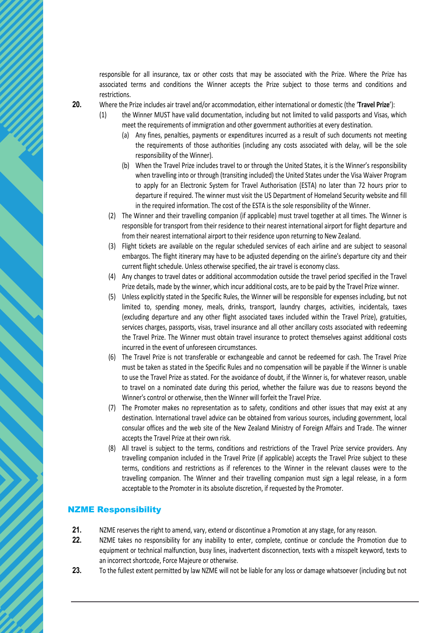responsible for all insurance, tax or other costs that may be associated with the Prize. Where the Prize has associated terms and conditions the Winner accepts the Prize subject to those terms and conditions and restrictions.

**20.** Where the Prize includes air travel and/or accommodation, either international or domestic (the '**Travel Prize**'):

- (1) the Winner MUST have valid documentation, including but not limited to valid passports and Visas, which meet the requirements of immigration and other government authorities at every destination.
	- (a) Any fines, penalties, payments or expenditures incurred as a result of such documents not meeting the requirements of those authorities (including any costs associated with delay, will be the sole responsibility of the Winner).
	- (b) When the Travel Prize includes travel to or through the United States, it is the Winner's responsibility when travelling into or through (transiting included) the United States under the Visa Waiver Program to apply for an Electronic System for Travel Authorisation (ESTA) no later than 72 hours prior to departure if required. The winner must visit the US Department of Homeland Security website and fill in the required information. The cost of the ESTA is the sole responsibility of the Winner.
	- (2) The Winner and their travelling companion (if applicable) must travel together at all times. The Winner is responsible for transport from their residence to their nearest international airport for flight departure and from their nearest international airport to their residence upon returning to New Zealand.
	- (3) Flight tickets are available on the regular scheduled services of each airline and are subject to seasonal embargos. The flight itinerary may have to be adjusted depending on the airline's departure city and their current flight schedule. Unless otherwise specified, the air travel is economy class.
	- (4) Any changes to travel dates or additional accommodation outside the travel period specified in the Travel Prize details, made by the winner, which incur additional costs, are to be paid by the Travel Prize winner.
	- (5) Unless explicitly stated in the Specific Rules, the Winner will be responsible for expenses including, but not limited to, spending money, meals, drinks, transport, laundry charges, activities, incidentals, taxes (excluding departure and any other flight associated taxes included within the Travel Prize), gratuities, services charges, passports, visas, travel insurance and all other ancillary costs associated with redeeming the Travel Prize. The Winner must obtain travel insurance to protect themselves against additional costs incurred in the event of unforeseen circumstances.
	- (6) The Travel Prize is not transferable or exchangeable and cannot be redeemed for cash. The Travel Prize must be taken as stated in the Specific Rules and no compensation will be payable if the Winner is unable to use the Travel Prize as stated. For the avoidance of doubt, if the Winner is, for whatever reason, unable to travel on a nominated date during this period, whether the failure was due to reasons beyond the Winner's control or otherwise, then the Winner will forfeit the Travel Prize.
	- (7) The Promoter makes no representation as to safety, conditions and other issues that may exist at any destination. International travel advice can be obtained from various sources, including government, local consular offices and the web site of the New Zealand Ministry of Foreign Affairs and Trade. The winner accepts the Travel Prize at their own risk.
	- (8) All travel is subject to the terms, conditions and restrictions of the Travel Prize service providers. Any travelling companion included in the Travel Prize (if applicable) accepts the Travel Prize subject to these terms, conditions and restrictions as if references to the Winner in the relevant clauses were to the travelling companion. The Winner and their travelling companion must sign a legal release, in a form acceptable to the Promoter in its absolute discretion, if requested by the Promoter.

### NZME Responsibility

- **21.** NZME reserves the right to amend, vary, extend or discontinue a Promotion at any stage, for any reason.
- **22.** NZME takes no responsibility for any inability to enter, complete, continue or conclude the Promotion due to equipment or technical malfunction, busy lines, inadvertent disconnection, texts with a misspelt keyword, texts to an incorrect shortcode, Force Majeure or otherwise.
- **23.** To the fullest extent permitted by law NZME will not be liable for any loss or damage whatsoever (including but not